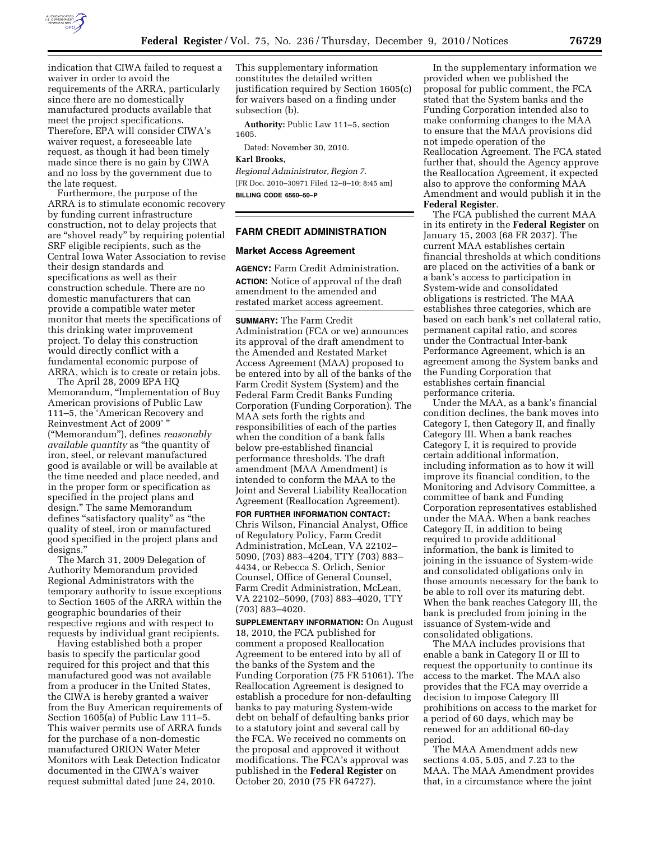

indication that CIWA failed to request a waiver in order to avoid the requirements of the ARRA, particularly since there are no domestically manufactured products available that meet the project specifications. Therefore, EPA will consider CIWA's waiver request, a foreseeable late request, as though it had been timely made since there is no gain by CIWA and no loss by the government due to the late request.

Furthermore, the purpose of the ARRA is to stimulate economic recovery by funding current infrastructure construction, not to delay projects that are ''shovel ready'' by requiring potential SRF eligible recipients, such as the Central Iowa Water Association to revise their design standards and specifications as well as their construction schedule. There are no domestic manufacturers that can provide a compatible water meter monitor that meets the specifications of this drinking water improvement project. To delay this construction would directly conflict with a fundamental economic purpose of ARRA, which is to create or retain jobs.

The April 28, 2009 EPA HQ Memorandum, ''Implementation of Buy American provisions of Public Law 111–5, the 'American Recovery and Reinvestment Act of 2009' '' (''Memorandum''), defines *reasonably available quantity* as ''the quantity of iron, steel, or relevant manufactured good is available or will be available at the time needed and place needed, and in the proper form or specification as specified in the project plans and design.'' The same Memorandum defines "satisfactory quality" as "the quality of steel, iron or manufactured good specified in the project plans and designs.''

The March 31, 2009 Delegation of Authority Memorandum provided Regional Administrators with the temporary authority to issue exceptions to Section 1605 of the ARRA within the geographic boundaries of their respective regions and with respect to requests by individual grant recipients.

Having established both a proper basis to specify the particular good required for this project and that this manufactured good was not available from a producer in the United States, the CIWA is hereby granted a waiver from the Buy American requirements of Section 1605(a) of Public Law 111–5. This waiver permits use of ARRA funds for the purchase of a non-domestic manufactured ORION Water Meter Monitors with Leak Detection Indicator documented in the CIWA's waiver request submittal dated June 24, 2010.

This supplementary information constitutes the detailed written justification required by Section 1605(c) for waivers based on a finding under subsection (b).

**Authority:** Public Law 111–5, section 1605.

Dated: November 30, 2010.

#### **Karl Brooks,**

*Regional Administrator, Region 7.*  [FR Doc. 2010–30971 Filed 12–8–10; 8:45 am] **BILLING CODE 6560–50–P** 

# **FARM CREDIT ADMINISTRATION**

## **Market Access Agreement**

**AGENCY:** Farm Credit Administration. **ACTION:** Notice of approval of the draft amendment to the amended and restated market access agreement.

**SUMMARY:** The Farm Credit Administration (FCA or we) announces its approval of the draft amendment to the Amended and Restated Market Access Agreement (MAA) proposed to be entered into by all of the banks of the Farm Credit System (System) and the Federal Farm Credit Banks Funding Corporation (Funding Corporation). The MAA sets forth the rights and responsibilities of each of the parties when the condition of a bank falls below pre-established financial performance thresholds. The draft amendment (MAA Amendment) is intended to conform the MAA to the Joint and Several Liability Reallocation Agreement (Reallocation Agreement).

**FOR FURTHER INFORMATION CONTACT:**  Chris Wilson, Financial Analyst, Office of Regulatory Policy, Farm Credit Administration, McLean, VA 22102– 5090, (703) 883–4204, TTY (703) 883– 4434, or Rebecca S. Orlich, Senior Counsel, Office of General Counsel, Farm Credit Administration, McLean, VA 22102–5090, (703) 883–4020, TTY (703) 883–4020.

**SUPPLEMENTARY INFORMATION:** On August 18, 2010, the FCA published for comment a proposed Reallocation Agreement to be entered into by all of the banks of the System and the Funding Corporation (75 FR 51061). The Reallocation Agreement is designed to establish a procedure for non-defaulting banks to pay maturing System-wide debt on behalf of defaulting banks prior to a statutory joint and several call by the FCA. We received no comments on the proposal and approved it without modifications. The FCA's approval was published in the **Federal Register** on October 20, 2010 (75 FR 64727).

In the supplementary information we provided when we published the proposal for public comment, the FCA stated that the System banks and the Funding Corporation intended also to make conforming changes to the MAA to ensure that the MAA provisions did not impede operation of the Reallocation Agreement. The FCA stated further that, should the Agency approve the Reallocation Agreement, it expected also to approve the conforming MAA Amendment and would publish it in the **Federal Register**.

The FCA published the current MAA in its entirety in the **Federal Register** on January 15, 2003 (68 FR 2037). The current MAA establishes certain financial thresholds at which conditions are placed on the activities of a bank or a bank's access to participation in System-wide and consolidated obligations is restricted. The MAA establishes three categories, which are based on each bank's net collateral ratio, permanent capital ratio, and scores under the Contractual Inter-bank Performance Agreement, which is an agreement among the System banks and the Funding Corporation that establishes certain financial performance criteria.

Under the MAA, as a bank's financial condition declines, the bank moves into Category I, then Category II, and finally Category III. When a bank reaches Category I, it is required to provide certain additional information, including information as to how it will improve its financial condition, to the Monitoring and Advisory Committee, a committee of bank and Funding Corporation representatives established under the MAA. When a bank reaches Category II, in addition to being required to provide additional information, the bank is limited to joining in the issuance of System-wide and consolidated obligations only in those amounts necessary for the bank to be able to roll over its maturing debt. When the bank reaches Category III, the bank is precluded from joining in the issuance of System-wide and consolidated obligations.

The MAA includes provisions that enable a bank in Category II or III to request the opportunity to continue its access to the market. The MAA also provides that the FCA may override a decision to impose Category III prohibitions on access to the market for a period of 60 days, which may be renewed for an additional 60-day period.

The MAA Amendment adds new sections 4.05, 5.05, and 7.23 to the MAA. The MAA Amendment provides that, in a circumstance where the joint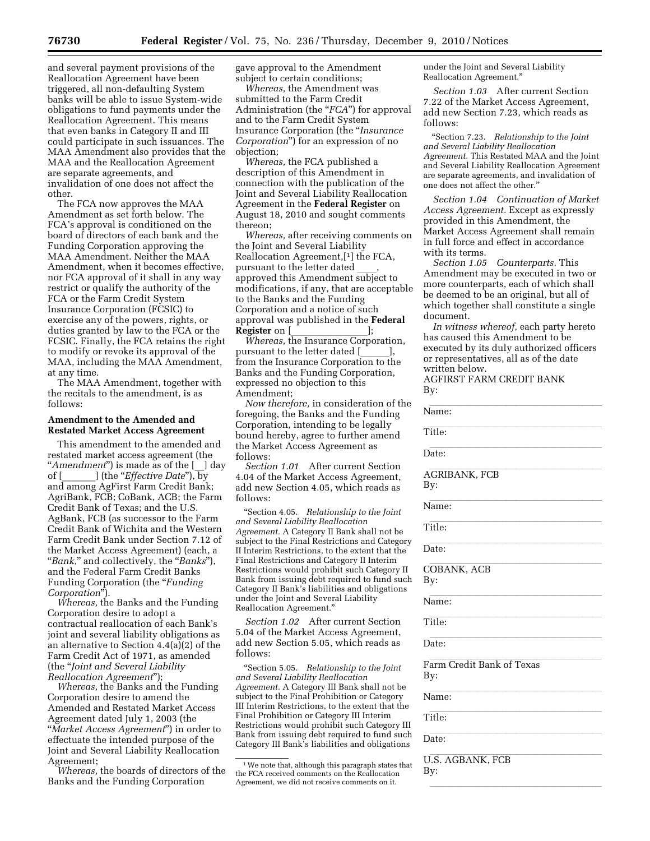and several payment provisions of the Reallocation Agreement have been triggered, all non-defaulting System banks will be able to issue System-wide obligations to fund payments under the Reallocation Agreement. This means that even banks in Category II and III could participate in such issuances. The MAA Amendment also provides that the MAA and the Reallocation Agreement are separate agreements, and invalidation of one does not affect the other.

The FCA now approves the MAA Amendment as set forth below. The FCA's approval is conditioned on the board of directors of each bank and the Funding Corporation approving the MAA Amendment. Neither the MAA Amendment, when it becomes effective, nor FCA approval of it shall in any way restrict or qualify the authority of the FCA or the Farm Credit System Insurance Corporation (FCSIC) to exercise any of the powers, rights, or duties granted by law to the FCA or the FCSIC. Finally, the FCA retains the right to modify or revoke its approval of the MAA, including the MAA Amendment, at any time.

The MAA Amendment, together with the recitals to the amendment, is as follows:

## **Amendment to the Amended and Restated Market Access Agreement**

This amendment to the amended and restated market access agreement (the ''*Amendment*'') is made as of the [\_\_] day of [\_\_\_\_\_\_\_] (the ''*Effective Date*''), by and among AgFirst Farm Credit Bank; AgriBank, FCB; CoBank, ACB; the Farm Credit Bank of Texas; and the U.S. AgBank, FCB (as successor to the Farm Credit Bank of Wichita and the Western Farm Credit Bank under Section 7.12 of the Market Access Agreement) (each, a ''*Bank,*'' and collectively, the ''*Banks*''), and the Federal Farm Credit Banks Funding Corporation (the "*Funding Corporation*'').

*Whereas,* the Banks and the Funding Corporation desire to adopt a contractual reallocation of each Bank's joint and several liability obligations as an alternative to Section 4.4(a)(2) of the Farm Credit Act of 1971, as amended (the ''*Joint and Several Liability Reallocation Agreement*'');

*Whereas,* the Banks and the Funding Corporation desire to amend the Amended and Restated Market Access Agreement dated July 1, 2003 (the ''*Market Access Agreement*'') in order to effectuate the intended purpose of the Joint and Several Liability Reallocation Agreement;

*Whereas,* the boards of directors of the Banks and the Funding Corporation

gave approval to the Amendment subject to certain conditions;

*Whereas,* the Amendment was submitted to the Farm Credit Administration (the "*FCA*") for approval and to the Farm Credit System Insurance Corporation (the ''*Insurance Corporation*'') for an expression of no objection;

*Whereas,* the FCA published a description of this Amendment in connection with the publication of the Joint and Several Liability Reallocation Agreement in the **Federal Register** on August 18, 2010 and sought comments thereon;

*Whereas,* after receiving comments on the Joint and Several Liability Reallocation Agreement,[1] the FCA, pursuant to the letter dated approved this Amendment subject to modifications, if any, that are acceptable to the Banks and the Funding Corporation and a notice of such approval was published in the **Federal** 

**Register** on [*llell]*; *Whereas, the Insurance Corporation,* pursuant to the letter dated [\_\_\_\_\_],<br>from the Insurance Corporation to the Banks and the Funding Corporation, expressed no objection to this Amendment;

*Now therefore,* in consideration of the foregoing, the Banks and the Funding Corporation, intending to be legally bound hereby, agree to further amend the Market Access Agreement as follows:

*Section 1.01* After current Section 4.04 of the Market Access Agreement, add new Section 4.05, which reads as follows:

''Section 4.05. *Relationship to the Joint and Several Liability Reallocation Agreement.* A Category II Bank shall not be subject to the Final Restrictions and Category II Interim Restrictions, to the extent that the Final Restrictions and Category II Interim Restrictions would prohibit such Category II Bank from issuing debt required to fund such Category II Bank's liabilities and obligations under the Joint and Several Liability Reallocation Agreement.''

*Section 1.02* After current Section 5.04 of the Market Access Agreement, add new Section 5.05, which reads as follows:

''Section 5.05. *Relationship to the Joint and Several Liability Reallocation Agreement.* A Category III Bank shall not be subject to the Final Prohibition or Category III Interim Restrictions, to the extent that the Final Prohibition or Category III Interim Restrictions would prohibit such Category III Bank from issuing debt required to fund such Category III Bank's liabilities and obligations under the Joint and Several Liability Reallocation Agreement.''

*Section 1.03* After current Section 7.22 of the Market Access Agreement, add new Section 7.23, which reads as follows:

''Section 7.23. *Relationship to the Joint and Several Liability Reallocation Agreement.* This Restated MAA and the Joint and Several Liability Reallocation Agreement are separate agreements, and invalidation of one does not affect the other.''

*Section 1.04 Continuation of Market Access Agreement.* Except as expressly provided in this Amendment, the Market Access Agreement shall remain in full force and effect in accordance with its terms.

*Section 1.05 Counterparts.* This Amendment may be executed in two or more counterparts, each of which shall be deemed to be an original, but all of which together shall constitute a single document.

*In witness whereof,* each party hereto has caused this Amendment to be executed by its duly authorized officers or representatives, all as of the date written below.

AGFIRST FARM CREDIT BANK By:

| Name:                            |
|----------------------------------|
| Title:                           |
| Date:                            |
| <b>AGRIBANK, FCB</b><br>By:      |
| Name:                            |
| Title:                           |
| Date:                            |
| COBANK, ACB<br>By:               |
| Name:                            |
| Title:                           |
| Date:                            |
| Farm Credit Bank of Texas<br>By: |
| Name:                            |
| Title:                           |
| Date:                            |
| <b>U.S. AGBANK, FCB</b><br>By:   |
|                                  |

<sup>&</sup>lt;sup>1</sup> We note that, although this paragraph states that the FCA received comments on the Reallocation Agreement, we did not receive comments on it.